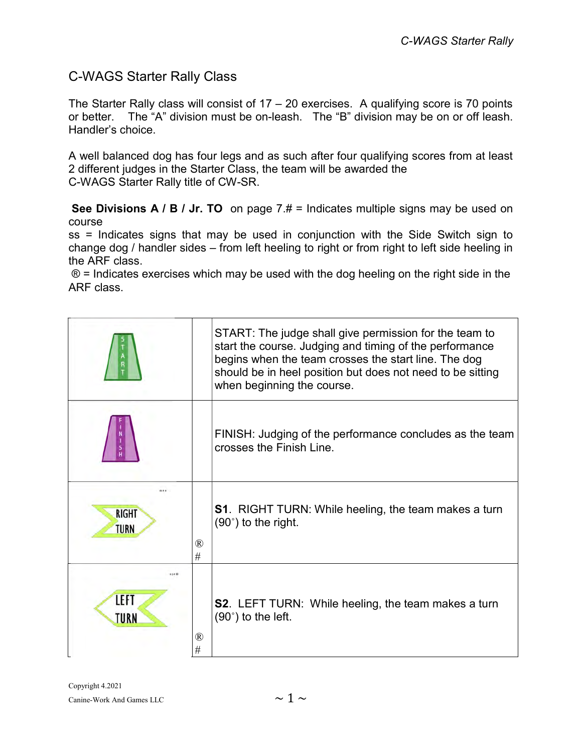## C-WAGS Starter Rally Class

The Starter Rally class will consist of  $17 - 20$  exercises. A qualifying score is 70 points or better. The "A" division must be on-leash. The "B" division may be on or off leash. Handler's choice.

A well balanced dog has four legs and as such after four qualifying scores from at least 2 different judges in the Starter Class, the team will be awarded the C-WAGS Starter Rally title of CW-SR.

See Divisions A / B / Jr. TO on page  $7. # =$  Indicates multiple signs may be used on course

ss = Indicates signs that may be used in conjunction with the Side Switch sign to change dog / handler sides – from left heeling to right or from right to left side heeling in the ARF class.

 $\circledR$  = Indicates exercises which may be used with the dog heeling on the right side in the ARF class.

|                      |                     | START: The judge shall give permission for the team to<br>start the course. Judging and timing of the performance<br>begins when the team crosses the start line. The dog<br>should be in heel position but does not need to be sitting<br>when beginning the course. |
|----------------------|---------------------|-----------------------------------------------------------------------------------------------------------------------------------------------------------------------------------------------------------------------------------------------------------------------|
|                      |                     | FINISH: Judging of the performance concludes as the team<br>crosses the Finish Line.                                                                                                                                                                                  |
| <b>RIGHT</b><br>TURN | $^{\circledR}$<br># | <b>S1</b> . RIGHT TURN: While heeling, the team makes a turn<br>$(90^\circ)$ to the right.                                                                                                                                                                            |
| 8128<br>LEFT<br>TURN | $^{\circledR}$<br># | <b>S2</b> . LEFT TURN: While heeling, the team makes a turn<br>$(90^\circ)$ to the left.                                                                                                                                                                              |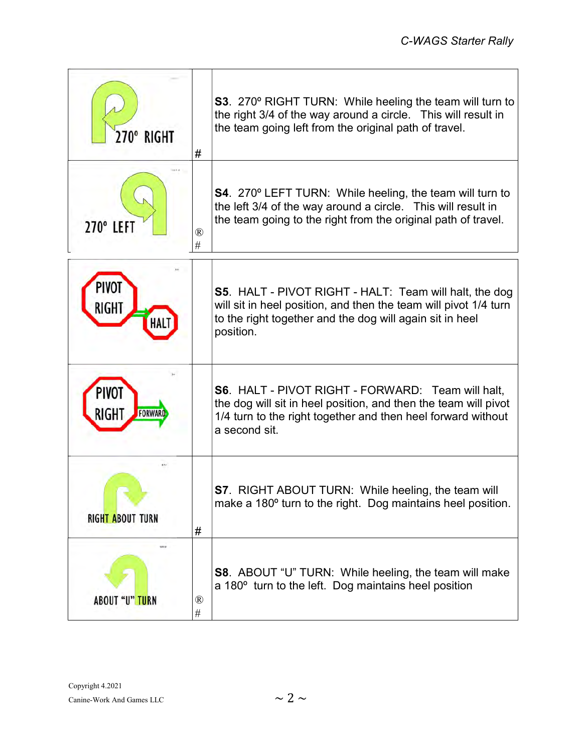| 270° RIGHT               | #                    | <b>S3</b> . 270° RIGHT TURN: While heeling the team will turn to<br>the right 3/4 of the way around a circle. This will result in<br>the team going left from the original path of travel.                   |
|--------------------------|----------------------|--------------------------------------------------------------------------------------------------------------------------------------------------------------------------------------------------------------|
| 270° LEFT                | ®<br>#               | <b>S4</b> . 270° LEFT TURN: While heeling, the team will turn to<br>the left 3/4 of the way around a circle. This will result in<br>the team going to the right from the original path of travel.            |
| <b>PIVOT</b><br>RIGHT    |                      | S5. HALT - PIVOT RIGHT - HALT: Team will halt, the dog<br>will sit in heel position, and then the team will pivot 1/4 turn<br>to the right together and the dog will again sit in heel<br>position.          |
| PIVOT<br>RIGHT<br>FORWA  |                      | <b>S6. HALT - PIVOT RIGHT - FORWARD: Team will halt,</b><br>the dog will sit in heel position, and then the team will pivot<br>1/4 turn to the right together and then heel forward without<br>a second sit. |
| <b>RIGHT ABOUT TURN</b>  | #                    | <b>S7</b> . RIGHT ABOUT TURN: While heeling, the team will<br>make a 180° turn to the right. Dog maintains heel position.                                                                                    |
| 1.17.0<br>ABOUT "U" TURN | $^\circledR$<br>$\#$ | <b>S8</b> . ABOUT "U" TURN: While heeling, the team will make<br>a 180° turn to the left. Dog maintains heel position                                                                                        |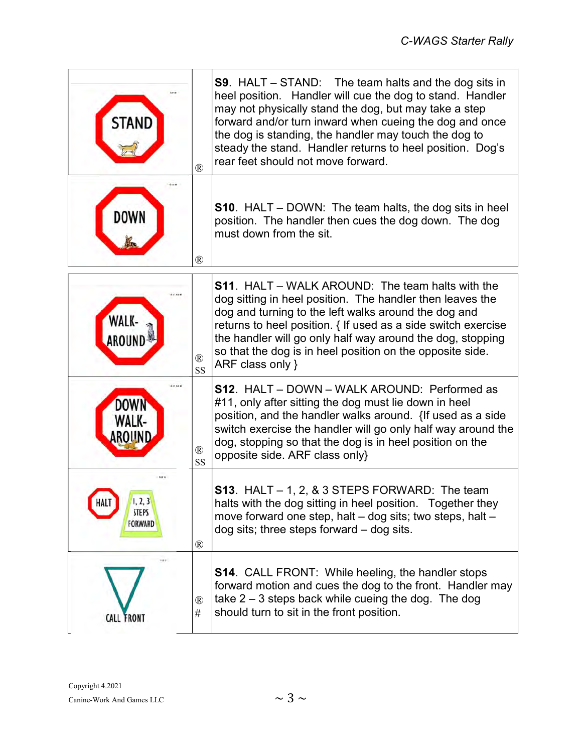| STAND                                             | ®                           | <b>S9</b> . HALT $-$ STAND: The team halts and the dog sits in<br>heel position. Handler will cue the dog to stand. Handler<br>may not physically stand the dog, but may take a step<br>forward and/or turn inward when cueing the dog and once<br>the dog is standing, the handler may touch the dog to<br>steady the stand. Handler returns to heel position. Dog's<br>rear feet should not move forward. |
|---------------------------------------------------|-----------------------------|-------------------------------------------------------------------------------------------------------------------------------------------------------------------------------------------------------------------------------------------------------------------------------------------------------------------------------------------------------------------------------------------------------------|
| DOWN                                              | ®                           | <b>S10.</b> HALT – DOWN: The team halts, the dog sits in heel<br>position. The handler then cues the dog down. The dog<br>must down from the sit.                                                                                                                                                                                                                                                           |
| WALK-<br>AROUNI                                   | $^{\circledR}$<br>SS        | <b>S11.</b> HALT – WALK AROUND: The team halts with the<br>dog sitting in heel position. The handler then leaves the<br>dog and turning to the left walks around the dog and<br>returns to heel position. { If used as a side switch exercise<br>the handler will go only half way around the dog, stopping<br>so that the dog is in heel position on the opposite side.<br>ARF class only }                |
|                                                   | $^{\circledR}$<br><b>SS</b> | <b>S12.</b> HALT – DOWN – WALK AROUND: Performed as<br>#11, only after sitting the dog must lie down in heel<br>position, and the handler walks around. {If used as a side<br>switch exercise the handler will go only half way around the<br>dog, stopping so that the dog is in heel position on the<br>opposite side. ARF class only}                                                                    |
| 1, 2, 3<br>HALT<br><b>STEPS</b><br><b>FORWARD</b> | $^{\circledR}$              | <b>S13</b> . HALT $-$ 1, 2, & 3 STEPS FORWARD: The team<br>halts with the dog sitting in heel position. Together they<br>move forward one step, halt – dog sits; two steps, halt –<br>$dog$ sits; three steps forward $-$ dog sits.                                                                                                                                                                         |
| 3488<br><b>CALL FRONT</b>                         | $^{\circledR}$<br>#         | <b>S14.</b> CALL FRONT: While heeling, the handler stops<br>forward motion and cues the dog to the front. Handler may<br>take $2 - 3$ steps back while cueing the dog. The dog<br>should turn to sit in the front position.                                                                                                                                                                                 |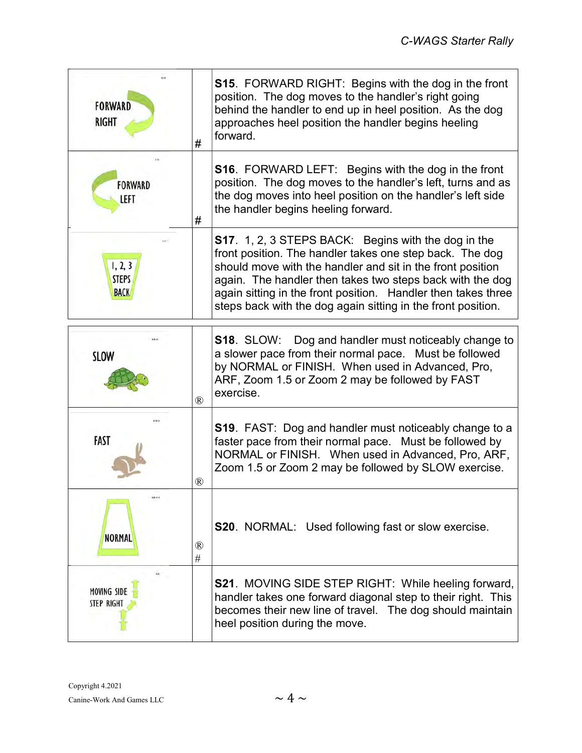| <b>FORWARD</b><br><b>RIGHT</b>          | #                      | <b>S15</b> . FORWARD RIGHT: Begins with the dog in the front<br>position. The dog moves to the handler's right going<br>behind the handler to end up in heel position. As the dog<br>approaches heel position the handler begins heeling<br>forward.                                                                                                                                |
|-----------------------------------------|------------------------|-------------------------------------------------------------------------------------------------------------------------------------------------------------------------------------------------------------------------------------------------------------------------------------------------------------------------------------------------------------------------------------|
| <b>FORWARD</b><br>LEFT                  | #                      | <b>S16.</b> FORWARD LEFT: Begins with the dog in the front<br>position. The dog moves to the handler's left, turns and as<br>the dog moves into heel position on the handler's left side<br>the handler begins heeling forward.                                                                                                                                                     |
| 1, 2, 3<br><b>STEPS</b><br><b>BACK</b>  |                        | <b>S17</b> . 1, 2, 3 STEPS BACK: Begins with the dog in the<br>front position. The handler takes one step back. The dog<br>should move with the handler and sit in the front position<br>again. The handler then takes two steps back with the dog<br>again sitting in the front position. Handler then takes three<br>steps back with the dog again sitting in the front position. |
| <b>SLOW</b>                             | $\mathbb{R}$           | <b>S18. SLOW:</b><br>Dog and handler must noticeably change to<br>a slower pace from their normal pace. Must be followed<br>by NORMAL or FINISH. When used in Advanced, Pro,<br>ARF, Zoom 1.5 or Zoom 2 may be followed by FAST<br>exercise.                                                                                                                                        |
| FAST                                    | $^{\circledR}$         | S19. FAST: Dog and handler must noticeably change to a<br>faster pace from their normal pace. Must be followed by<br>NORMAL or FINISH. When used in Advanced, Pro, ARF,<br>Zoom 1.5 or Zoom 2 may be followed by SLOW exercise.                                                                                                                                                     |
| <b>NORMAL</b>                           | $^{\circledR}$<br>$\#$ | <b>S20</b> . NORMAL: Used following fast or slow exercise.                                                                                                                                                                                                                                                                                                                          |
| <b>MOVING SIDE</b><br><b>STEP RIGHT</b> |                        | <b>S21. MOVING SIDE STEP RIGHT: While heeling forward,</b><br>handler takes one forward diagonal step to their right. This<br>becomes their new line of travel. The dog should maintain<br>heel position during the move.                                                                                                                                                           |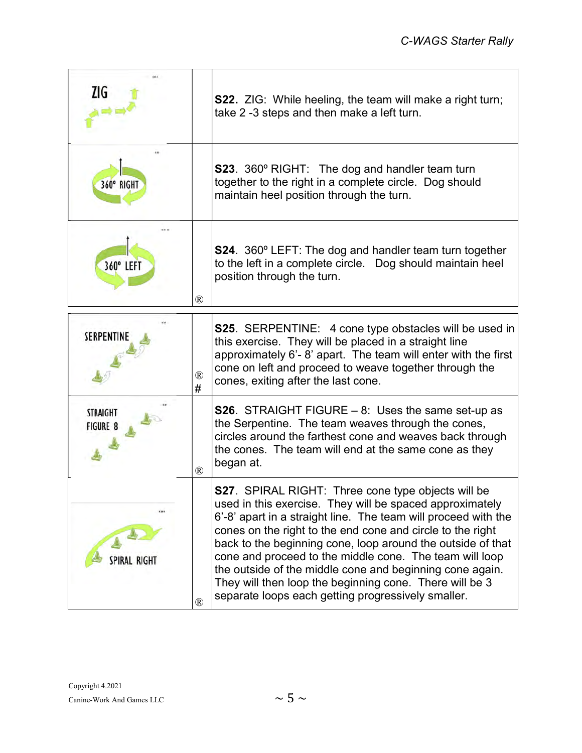| ZIG                                |                     | <b>S22.</b> ZIG: While heeling, the team will make a right turn;<br>take 2 -3 steps and then make a left turn.                                                                                                                                                                                                                                                                                                                                                                                                                                                |
|------------------------------------|---------------------|---------------------------------------------------------------------------------------------------------------------------------------------------------------------------------------------------------------------------------------------------------------------------------------------------------------------------------------------------------------------------------------------------------------------------------------------------------------------------------------------------------------------------------------------------------------|
| 360° RIGHT                         |                     | <b>S23.</b> 360° RIGHT: The dog and handler team turn<br>together to the right in a complete circle. Dog should<br>maintain heel position through the turn.                                                                                                                                                                                                                                                                                                                                                                                                   |
| 360° LEFT                          | ®                   | <b>S24</b> . 360° LEFT: The dog and handler team turn together<br>to the left in a complete circle. Dog should maintain heel<br>position through the turn.                                                                                                                                                                                                                                                                                                                                                                                                    |
| SERPENTINE                         | $^{\circledR}$<br># | <b>S25.</b> SERPENTINE: 4 cone type obstacles will be used in<br>this exercise. They will be placed in a straight line<br>approximately 6'-8' apart. The team will enter with the first<br>cone on left and proceed to weave together through the<br>cones, exiting after the last cone.                                                                                                                                                                                                                                                                      |
| <b>STRAIGHT</b><br><b>FIGURE 8</b> | $^{\circledR}$      | <b>S26.</b> STRAIGHT FIGURE $-8$ : Uses the same set-up as<br>the Serpentine. The team weaves through the cones,<br>circles around the farthest cone and weaves back through<br>the cones. The team will end at the same cone as they<br>began at.                                                                                                                                                                                                                                                                                                            |
| <b>SPIRAL RIGHT</b>                | $^{\circledR}$      | <b>S27</b> . SPIRAL RIGHT: Three cone type objects will be<br>used in this exercise. They will be spaced approximately<br>6'-8' apart in a straight line. The team will proceed with the<br>cones on the right to the end cone and circle to the right<br>back to the beginning cone, loop around the outside of that<br>cone and proceed to the middle cone. The team will loop<br>the outside of the middle cone and beginning cone again.<br>They will then loop the beginning cone. There will be 3<br>separate loops each getting progressively smaller. |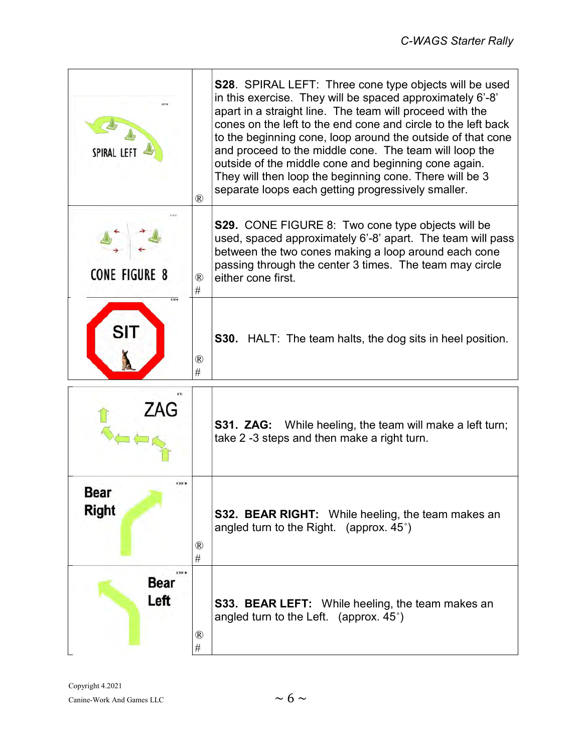| SPIRAL LEI                  | $\rm (R)$           | <b>S28.</b> SPIRAL LEFT: Three cone type objects will be used<br>in this exercise. They will be spaced approximately 6'-8'<br>apart in a straight line. The team will proceed with the<br>cones on the left to the end cone and circle to the left back<br>to the beginning cone, loop around the outside of that cone<br>and proceed to the middle cone. The team will loop the<br>outside of the middle cone and beginning cone again.<br>They will then loop the beginning cone. There will be 3<br>separate loops each getting progressively smaller. |
|-----------------------------|---------------------|-----------------------------------------------------------------------------------------------------------------------------------------------------------------------------------------------------------------------------------------------------------------------------------------------------------------------------------------------------------------------------------------------------------------------------------------------------------------------------------------------------------------------------------------------------------|
| CONE FIGURE 8               | $^{\circledR}$<br># | <b>S29.</b> CONE FIGURE 8: Two cone type objects will be<br>used, spaced approximately 6'-8' apart. The team will pass<br>between the two cones making a loop around each cone<br>passing through the center 3 times. The team may circle<br>either cone first.                                                                                                                                                                                                                                                                                           |
| SI                          | $^{\circledR}$<br># | <b>S30.</b> HALT: The team halts, the dog sits in heel position.                                                                                                                                                                                                                                                                                                                                                                                                                                                                                          |
|                             |                     | <b>S31. ZAG:</b> While heeling, the team will make a left turn;<br>take 2 -3 steps and then make a right turn.                                                                                                                                                                                                                                                                                                                                                                                                                                            |
| 500<br>Bear<br><b>Right</b> | $\rm (R)$<br>#      | <b>S32. BEAR RIGHT:</b> While heeling, the team makes an<br>angled turn to the Right. (approx. $45^{\circ}$ )                                                                                                                                                                                                                                                                                                                                                                                                                                             |
| 53986<br>Bear<br>Left       | ®<br>$\#$           | S33. BEAR LEFT: While heeling, the team makes an<br>angled turn to the Left. (approx. $45^{\circ}$ )                                                                                                                                                                                                                                                                                                                                                                                                                                                      |